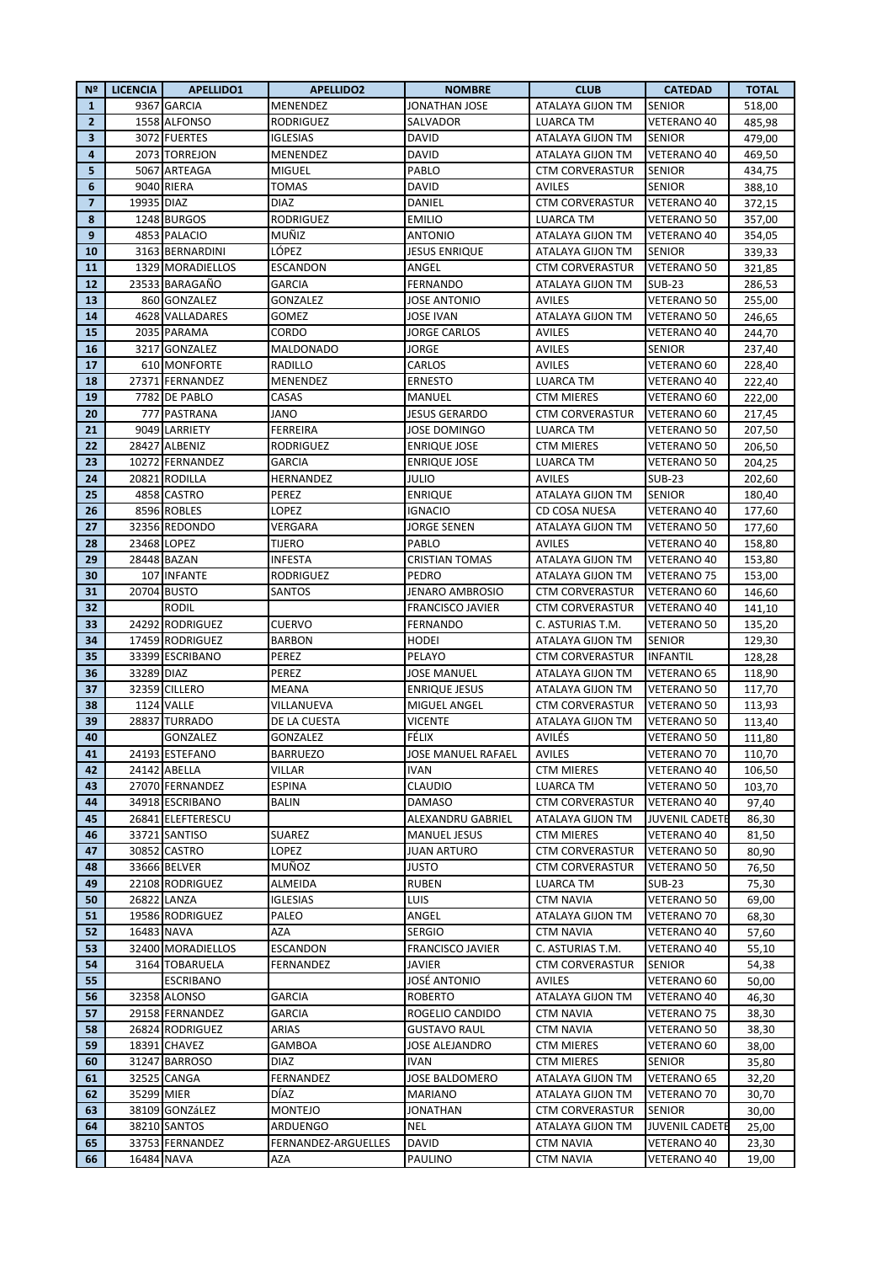| N <sup>2</sup> | <b>LICENCIA</b> | <b>APELLIDO1</b>  | <b>APELLIDO2</b>    | <b>NOMBRE</b>           | <b>CLUB</b>            | <b>CATEDAD</b>        | <b>TOTAL</b> |
|----------------|-----------------|-------------------|---------------------|-------------------------|------------------------|-----------------------|--------------|
| $\mathbf{1}$   |                 | 9367 GARCIA       | MENENDEZ            | <b>JONATHAN JOSE</b>    | ATALAYA GIJON TM       | <b>SENIOR</b>         | 518,00       |
| $\overline{2}$ |                 | 1558 ALFONSO      | <b>RODRIGUEZ</b>    | <b>SALVADOR</b>         | <b>LUARCA TM</b>       | <b>VETERANO 40</b>    | 485,98       |
| 3              |                 | 3072 FUERTES      | <b>IGLESIAS</b>     | DAVID                   | ATALAYA GIJON TM       | <b>SENIOR</b>         | 479,00       |
| $\overline{a}$ |                 | 2073 TORREJON     | MENENDEZ            | <b>DAVID</b>            | ATALAYA GIJON TM       | <b>VETERANO 40</b>    | 469,50       |
| 5              |                 | 5067 ARTEAGA      | MIGUEL              | PABLO                   | <b>CTM CORVERASTUR</b> | <b>SENIOR</b>         | 434,75       |
| 6              |                 | 9040 RIERA        | <b>TOMAS</b>        | <b>DAVID</b>            | <b>AVILES</b>          | <b>SENIOR</b>         | 388,10       |
| $\overline{7}$ | 19935 DIAZ      |                   | <b>DIAZ</b>         | DANIEL                  | <b>CTM CORVERASTUR</b> | <b>VETERANO 40</b>    | 372,15       |
| 8              |                 | 1248 BURGOS       | <b>RODRIGUEZ</b>    | <b>EMILIO</b>           | <b>LUARCA TM</b>       | <b>VETERANO 50</b>    | 357,00       |
| 9              |                 | 4853 PALACIO      | MUÑIZ               | <b>ANTONIO</b>          | ATALAYA GIJON TM       | <b>VETERANO 40</b>    | 354,05       |
| 10             |                 | 3163 BERNARDINI   | LÓPEZ               | <b>JESUS ENRIQUE</b>    | ATALAYA GIJON TM       | <b>SENIOR</b>         | 339,33       |
| 11             |                 | 1329 MORADIELLOS  | ESCANDON            | ANGEL                   | <b>CTM CORVERASTUR</b> | <b>VETERANO 50</b>    |              |
| 12             |                 |                   | <b>GARCIA</b>       | <b>FERNANDO</b>         |                        | <b>SUB-23</b>         | 321,85       |
|                |                 | 23533 BARAGAÑO    |                     |                         | ATALAYA GIJON TM       |                       | 286,53       |
| 13             |                 | 860 GONZALEZ      | <b>GONZALEZ</b>     | <b>JOSE ANTONIO</b>     | <b>AVILES</b>          | <b>VETERANO 50</b>    | 255,00       |
| 14             |                 | 4628 VALLADARES   | GOMEZ               | <b>JOSE IVAN</b>        | ATALAYA GIJON TM       | VETERANO 50           | 246,65       |
| 15             |                 | 2035 PARAMA       | CORDO               | <b>JORGE CARLOS</b>     | AVILES                 | <b>VETERANO 40</b>    | 244,70       |
| 16             |                 | 3217 GONZALEZ     | MALDONADO           | JORGE                   | <b>AVILES</b>          | <b>SENIOR</b>         | 237,40       |
| 17             |                 | 610 MONFORTE      | RADILLO             | CARLOS                  | <b>AVILES</b>          | <b>VETERANO 60</b>    | 228,40       |
| 18             |                 | 27371 FERNANDEZ   | MENENDEZ            | <b>ERNESTO</b>          | <b>LUARCA TM</b>       | <b>VETERANO 40</b>    | 222,40       |
| 19             |                 | 7782 DE PABLO     | CASAS               | MANUEL                  | <b>CTM MIERES</b>      | <b>VETERANO 60</b>    | 222,00       |
| 20             |                 | 777 PASTRANA      | JANO                | <b>JESUS GERARDO</b>    | <b>CTM CORVERASTUR</b> | <b>VETERANO 60</b>    | 217,45       |
| 21             |                 | 9049 LARRIETY     | <b>FERREIRA</b>     | <b>JOSE DOMINGO</b>     | <b>LUARCA TM</b>       | <b>VETERANO 50</b>    | 207,50       |
| 22             |                 | 28427 ALBENIZ     | <b>RODRIGUEZ</b>    | <b>ENRIQUE JOSE</b>     | <b>CTM MIERES</b>      | <b>VETERANO 50</b>    | 206,50       |
| 23             |                 | 10272 FERNANDEZ   | <b>GARCIA</b>       | <b>ENRIQUE JOSE</b>     | <b>LUARCA TM</b>       | <b>VETERANO 50</b>    | 204,25       |
| 24             |                 | 20821 RODILLA     | HERNANDEZ           | <b>JULIO</b>            | <b>AVILES</b>          | <b>SUB-23</b>         | 202,60       |
| 25             |                 | 4858 CASTRO       | PEREZ               | <b>ENRIQUE</b>          | ATALAYA GIJON TM       | <b>SENIOR</b>         | 180,40       |
| 26             |                 | 8596 ROBLES       | LOPEZ               | <b>IGNACIO</b>          | <b>CD COSA NUESA</b>   | <b>VETERANO 40</b>    | 177,60       |
| 27             |                 | 32356 REDONDO     | VERGARA             | <b>JORGE SENEN</b>      | ATALAYA GIJON TM       | <b>VETERANO 50</b>    | 177,60       |
| 28             |                 | 23468 LOPEZ       | TIJERO              | PABLO                   | <b>AVILES</b>          | <b>VETERANO 40</b>    | 158,80       |
| 29             |                 | 28448 BAZAN       | INFESTA             | <b>CRISTIAN TOMAS</b>   | ATALAYA GIJON TM       | <b>VETERANO 40</b>    | 153,80       |
| 30             |                 | 107 INFANTE       | RODRIGUEZ           | <b>PEDRO</b>            | ATALAYA GIJON TM       | <b>VETERANO 75</b>    |              |
| 31             |                 | 20704 BUSTO       | SANTOS              | <b>JENARO AMBROSIO</b>  | <b>CTM CORVERASTUR</b> | VETERANO 60           | 153,00       |
|                |                 |                   |                     |                         |                        |                       | 146,60       |
| 32             |                 | <b>RODIL</b>      |                     | <b>FRANCISCO JAVIER</b> | <b>CTM CORVERASTUR</b> | <b>VETERANO 40</b>    | 141,10       |
| 33             |                 | 24292 RODRIGUEZ   | <b>CUERVO</b>       | <b>FERNANDO</b>         | C. ASTURIAS T.M.       | VETERANO 50           | 135,20       |
| 34             |                 | 17459 RODRIGUEZ   | <b>BARBON</b>       | HODEI                   | ATALAYA GIJON TM       | <b>SENIOR</b>         | 129,30       |
| 35             |                 | 33399 ESCRIBANO   | PEREZ               | PELAYO                  | <b>CTM CORVERASTUR</b> | <b>INFANTIL</b>       | 128,28       |
| 36             | 33289 DIAZ      |                   | PEREZ               | <b>JOSE MANUEL</b>      | ATALAYA GIJON TM       | <b>VETERANO 65</b>    | 118,90       |
| 37             |                 | 32359 CILLERO     | MEANA               | <b>ENRIQUE JESUS</b>    | ATALAYA GIJON TM       | <b>VETERANO 50</b>    | 117,70       |
| 38             |                 | 1124 VALLE        | VILLANUEVA          | MIGUEL ANGEL            | <b>CTM CORVERASTUR</b> | <b>VETERANO 50</b>    | 113,93       |
| 39             |                 | 28837 TURRADO     | DE LA CUESTA        | <b>VICENTE</b>          | ATALAYA GIJON TM       | <b>VETERANO 50</b>    | 113,40       |
| 40             |                 | GONZALEZ          | GONZALEZ            | FÉLIX                   | AVILÉS                 | <b>VETERANO 50</b>    | 111,80       |
| 41             |                 | 24193 ESTEFANO    | <b>BARRUEZO</b>     | JOSE MANUEL RAFAEL      | AVILES                 | <b>VETERANO 70</b>    | 110,70       |
| 42             |                 | 24142 ABELLA      | VILLAR              | IVAN                    | <b>CTM MIERES</b>      | VETERANO 40           | 106,50       |
| 43             |                 | 27070 FERNANDEZ   | <b>ESPINA</b>       | <b>CLAUDIO</b>          | LUARCA TM              | <b>VETERANO 50</b>    | 103,70       |
| 44             |                 | 34918 ESCRIBANO   | BALIN               | DAMASO                  | <b>CTM CORVERASTUR</b> | VETERANO 40           | 97,40        |
| 45             |                 | 26841 ELEFTERESCU |                     | ALEXANDRU GABRIEL       | ATALAYA GIJON TM       | <b>JUVENIL CADETE</b> | 86,30        |
| 46             |                 | 33721 SANTISO     | SUAREZ              | <b>MANUEL JESUS</b>     | <b>CTM MIERES</b>      | VETERANO 40           | 81,50        |
| 47             |                 | 30852 CASTRO      | LOPEZ               | <b>JUAN ARTURO</b>      | <b>CTM CORVERASTUR</b> | <b>VETERANO 50</b>    | 80,90        |
| 48             |                 | 33666 BELVER      | MUÑOZ               | <b>JUSTO</b>            | <b>CTM CORVERASTUR</b> | <b>VETERANO 50</b>    | 76,50        |
| 49             |                 | 22108 RODRIGUEZ   | ALMEIDA             | <b>RUBEN</b>            | <b>LUARCA TM</b>       | <b>SUB-23</b>         | 75,30        |
| 50             |                 | 26822 LANZA       | IGLESIAS            | LUIS                    | <b>CTM NAVIA</b>       | <b>VETERANO 50</b>    | 69,00        |
| 51             |                 | 19586 RODRIGUEZ   | PALEO               | ANGEL                   | ATALAYA GIJON TM       | VETERANO 70           | 68,30        |
| 52             |                 | 16483 NAVA        | AZA                 | <b>SERGIO</b>           | <b>CTM NAVIA</b>       | VETERANO 40           | 57,60        |
| 53             |                 | 32400 MORADIELLOS | ESCANDON            | <b>FRANCISCO JAVIER</b> | C. ASTURIAS T.M.       | VETERANO 40           | 55,10        |
| 54             |                 | 3164 TOBARUELA    | FERNANDEZ           | JAVIER                  | <b>CTM CORVERASTUR</b> | <b>SENIOR</b>         | 54,38        |
| 55             |                 | ESCRIBANO         |                     | <b>JOSÉ ANTONIO</b>     | AVILES                 | VETERANO 60           | 50,00        |
| 56             |                 | 32358 ALONSO      | <b>GARCIA</b>       | <b>ROBERTO</b>          | ATALAYA GIJON TM       | VETERANO 40           | 46,30        |
| 57             |                 | 29158 FERNANDEZ   | GARCIA              | ROGELIO CANDIDO         | <b>CTM NAVIA</b>       | VETERANO 75           | 38,30        |
| 58             |                 | 26824 RODRIGUEZ   | ARIAS               | <b>GUSTAVO RAUL</b>     | <b>CTM NAVIA</b>       | <b>VETERANO 50</b>    | 38,30        |
| 59             |                 | 18391 CHAVEZ      | GAMBOA              | JOSE ALEJANDRO          | <b>CTM MIERES</b>      | VETERANO 60           |              |
|                |                 |                   |                     |                         |                        |                       | 38,00        |
| 60             |                 | 31247 BARROSO     | DIAZ                | <b>IVAN</b>             | <b>CTM MIERES</b>      | SENIOR                | 35,80        |
| 61             |                 | 32525 CANGA       | FERNANDEZ           | <b>JOSE BALDOMERO</b>   | ATALAYA GIJON TM       | <b>VETERANO 65</b>    | 32,20        |
| 62             | 35299 MIER      |                   | DÍAZ                | <b>MARIANO</b>          | ATALAYA GIJON TM       | VETERANO 70           | 30,70        |
| 63             |                 | 38109 GONZáLEZ    | MONTEJO             | <b>JONATHAN</b>         | <b>CTM CORVERASTUR</b> | <b>SENIOR</b>         | 30,00        |
| 64             |                 | 38210 SANTOS      | ARDUENGO            | <b>NEL</b>              | ATALAYA GIJON TM       | JUVENIL CADETE        | 25,00        |
| 65             |                 | 33753 FERNANDEZ   | FERNANDEZ-ARGUELLES | DAVID                   | CTM NAVIA              | VETERANO 40           | 23,30        |
| 66             | 16484 NAVA      |                   | AZA                 | <b>PAULINO</b>          | <b>CTM NAVIA</b>       | VETERANO 40           | 19,00        |